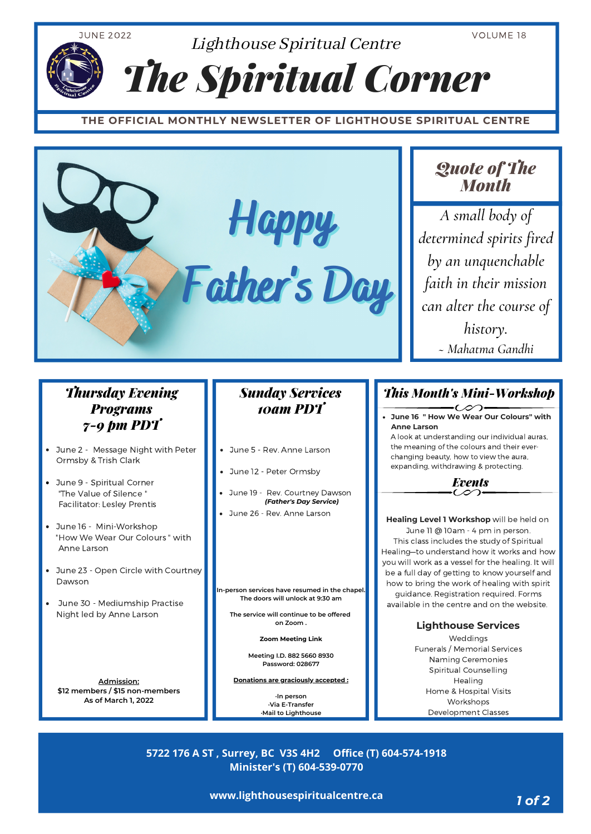

**www.lighthousespiritualcentre.ca**

*1 of 2*